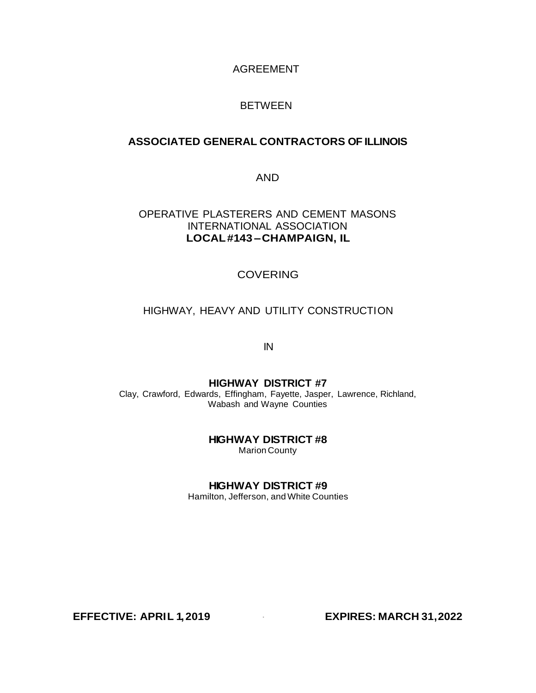#### AGREEMENT

#### BETWEEN

# **ASSOCIATED GENERAL CONTRACTORS OF ILLINOIS**

AND

### OPERATIVE PLASTERERS AND CEMENT MASONS INTERNATIONAL ASSOCIATION **LOCAL#143 –CHAMPAIGN, IL**

#### COVERING

#### HIGHWAY, HEAVY AND UTILITY CONSTRUCTION

IN

#### **HIGHWAY DISTRICT #7**

Clay, Crawford, Edwards, Effingham, Fayette, Jasper, Lawrence, Richland, Wabash and Wayne Counties

# **HIGHWAY DISTRICT #8**

Marion County

#### **HIGHWAY DISTRICT #9**

Hamilton, Jefferson, and White Counties

**EFFECTIVE: APRIL 1,2019** · **EXPIRES: MARCH 31,2022**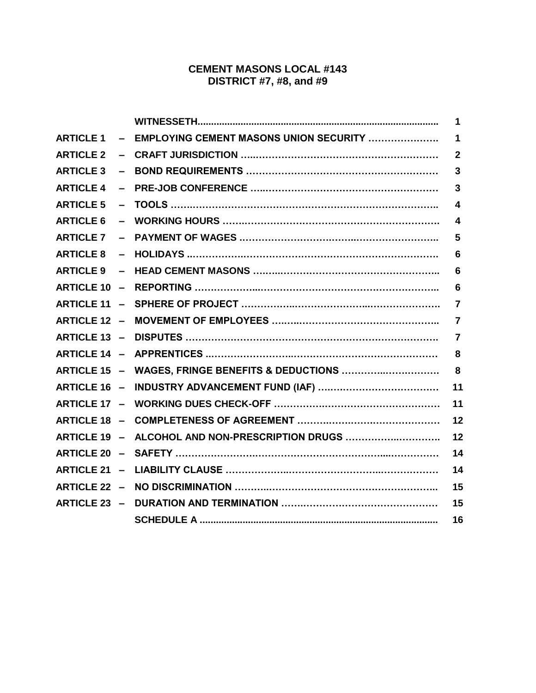# **CEMENT MASONS LOCAL #143 DISTRICT #7, #8, and #9**

|                  |                                                    | 1                       |
|------------------|----------------------------------------------------|-------------------------|
|                  | ARTICLE 1 - EMPLOYING CEMENT MASONS UNION SECURITY | $\mathbf 1$             |
| <b>ARTICLE 2</b> |                                                    | $\mathbf{2}$            |
| <b>ARTICLE 3</b> |                                                    | $\mathbf{3}$            |
| <b>ARTICLE 4</b> |                                                    | $\mathbf{3}$            |
| <b>ARTICLE 5</b> |                                                    | $\overline{\mathbf{4}}$ |
| <b>ARTICLE 6</b> |                                                    | $\boldsymbol{4}$        |
| <b>ARTICLE 7</b> |                                                    | 5                       |
|                  |                                                    | 6                       |
|                  |                                                    | 6                       |
|                  |                                                    | 6                       |
|                  |                                                    | $\overline{7}$          |
|                  |                                                    | $\overline{7}$          |
|                  |                                                    | $\overline{7}$          |
|                  |                                                    | 8                       |
|                  | ARTICLE 15 - WAGES, FRINGE BENEFITS & DEDUCTIONS   | 8                       |
|                  |                                                    | 11                      |
|                  |                                                    | 11                      |
|                  |                                                    | 12                      |
|                  | ARTICLE 19 - ALCOHOL AND NON-PRESCRIPTION DRUGS    | 12                      |
|                  |                                                    | 14                      |
|                  |                                                    | 14                      |
|                  |                                                    | 15                      |
|                  |                                                    | 15                      |
|                  |                                                    | 16                      |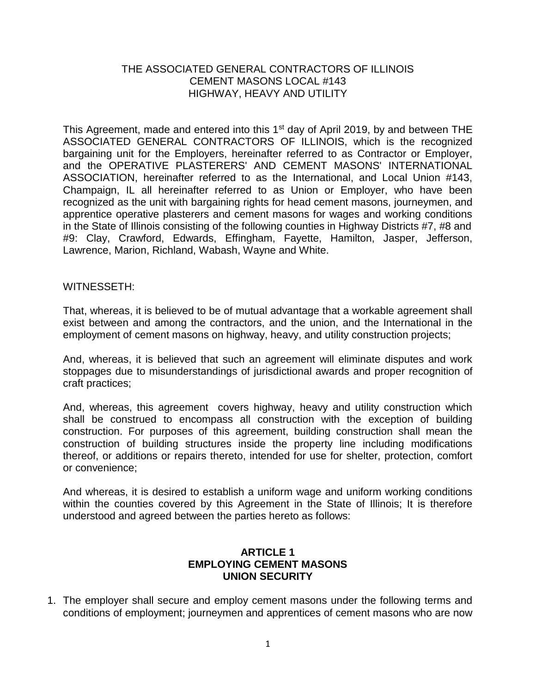# THE ASSOCIATED GENERAL CONTRACTORS OF ILLINOIS CEMENT MASONS LOCAL #143 HIGHWAY, HEAVY AND UTILITY

This Agreement, made and entered into this 1<sup>st</sup> day of April 2019, by and between THE ASSOCIATED GENERAL CONTRACTORS OF ILLINOIS, which is the recognized bargaining unit for the Employers, hereinafter referred to as Contractor or Employer, and the OPERATIVE PLASTERERS' AND CEMENT MASONS' INTERNATIONAL ASSOCIATION, hereinafter referred to as the International, and Local Union #143, Champaign, IL all hereinafter referred to as Union or Employer, who have been recognized as the unit with bargaining rights for head cement masons, journeymen, and apprentice operative plasterers and cement masons for wages and working conditions in the State of Illinois consisting of the following counties in Highway Districts #7, #8 and #9: Clay, Crawford, Edwards, Effingham, Fayette, Hamilton, Jasper, Jefferson, Lawrence, Marion, Richland, Wabash, Wayne and White.

#### WITNESSETH:

That, whereas, it is believed to be of mutual advantage that a workable agreement shall exist between and among the contractors, and the union, and the International in the employment of cement masons on highway, heavy, and utility construction projects;

And, whereas, it is believed that such an agreement will eliminate disputes and work stoppages due to misunderstandings of jurisdictional awards and proper recognition of craft practices;

And, whereas, this agreement covers highway, heavy and utility construction which shall be construed to encompass all construction with the exception of building construction. For purposes of this agreement, building construction shall mean the construction of building structures inside the property line including modifications thereof, or additions or repairs thereto, intended for use for shelter, protection, comfort or convenience;

And whereas, it is desired to establish a uniform wage and uniform working conditions within the counties covered by this Agreement in the State of Illinois; It is therefore understood and agreed between the parties hereto as follows:

### **ARTICLE 1 EMPLOYING CEMENT MASONS UNION SECURITY**

1. The employer shall secure and employ cement masons under the following terms and conditions of employment; journeymen and apprentices of cement masons who are now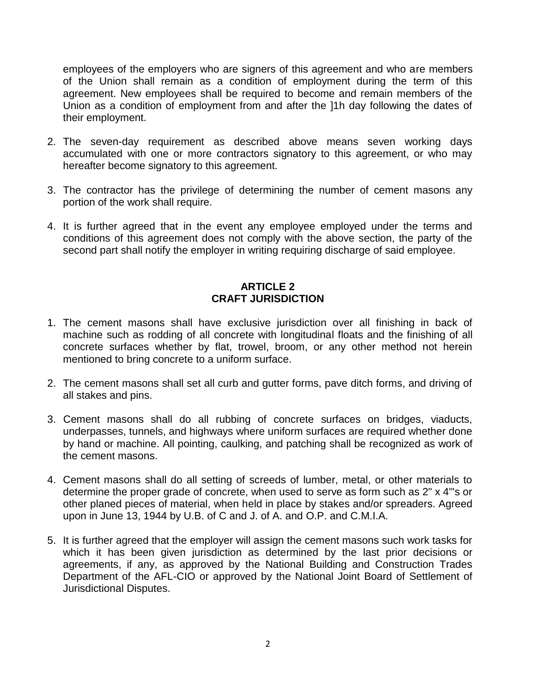employees of the employers who are signers of this agreement and who are members of the Union shall remain as a condition of employment during the term of this agreement. New employees shall be required to become and remain members of the Union as a condition of employment from and after the ]1h day following the dates of their employment.

- 2. The seven-day requirement as described above means seven working days accumulated with one or more contractors signatory to this agreement, or who may hereafter become signatory to this agreement.
- 3. The contractor has the privilege of determining the number of cement masons any portion of the work shall require.
- 4. It is further agreed that in the event any employee employed under the terms and conditions of this agreement does not comply with the above section, the party of the second part shall notify the employer in writing requiring discharge of said employee.

# **ARTICLE 2 CRAFT JURISDICTION**

- 1. The cement masons shall have exclusive jurisdiction over all finishing in back of machine such as rodding of all concrete with longitudinal floats and the finishing of all concrete surfaces whether by flat, trowel, broom, or any other method not herein mentioned to bring concrete to a uniform surface.
- 2. The cement masons shall set all curb and gutter forms, pave ditch forms, and driving of all stakes and pins.
- 3. Cement masons shall do all rubbing of concrete surfaces on bridges, viaducts, underpasses, tunnels, and highways where uniform surfaces are required whether done by hand or machine. All pointing, caulking, and patching shall be recognized as work of the cement masons.
- 4. Cement masons shall do all setting of screeds of lumber, metal, or other materials to determine the proper grade of concrete, when used to serve as form such as 2" x 4"'s or other planed pieces of material, when held in place by stakes and/or spreaders. Agreed upon in June 13, 1944 by U.B. of C and J. of A. and O.P. and C.M.I.A.
- 5. It is further agreed that the employer will assign the cement masons such work tasks for which it has been given jurisdiction as determined by the last prior decisions or agreements, if any, as approved by the National Building and Construction Trades Department of the AFL-CIO or approved by the National Joint Board of Settlement of Jurisdictional Disputes.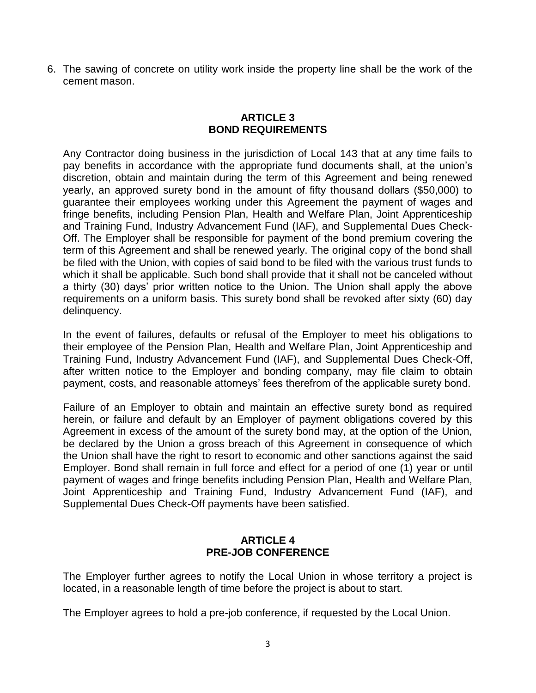6. The sawing of concrete on utility work inside the property line shall be the work of the cement mason.

# **ARTICLE 3 BOND REQUIREMENTS**

Any Contractor doing business in the jurisdiction of Local 143 that at any time fails to pay benefits in accordance with the appropriate fund documents shall, at the union's discretion, obtain and maintain during the term of this Agreement and being renewed yearly, an approved surety bond in the amount of fifty thousand dollars (\$50,000) to guarantee their employees working under this Agreement the payment of wages and fringe benefits, including Pension Plan, Health and Welfare Plan, Joint Apprenticeship and Training Fund, Industry Advancement Fund (IAF), and Supplemental Dues Check-Off. The Employer shall be responsible for payment of the bond premium covering the term of this Agreement and shall be renewed yearly. The original copy of the bond shall be filed with the Union, with copies of said bond to be filed with the various trust funds to which it shall be applicable. Such bond shall provide that it shall not be canceled without a thirty (30) days' prior written notice to the Union. The Union shall apply the above requirements on a uniform basis. This surety bond shall be revoked after sixty (60) day delinquency.

In the event of failures, defaults or refusal of the Employer to meet his obligations to their employee of the Pension Plan, Health and Welfare Plan, Joint Apprenticeship and Training Fund, Industry Advancement Fund (IAF), and Supplemental Dues Check-Off, after written notice to the Employer and bonding company, may file claim to obtain payment, costs, and reasonable attorneys' fees therefrom of the applicable surety bond.

Failure of an Employer to obtain and maintain an effective surety bond as required herein, or failure and default by an Employer of payment obligations covered by this Agreement in excess of the amount of the surety bond may, at the option of the Union, be declared by the Union a gross breach of this Agreement in consequence of which the Union shall have the right to resort to economic and other sanctions against the said Employer. Bond shall remain in full force and effect for a period of one (1) year or until payment of wages and fringe benefits including Pension Plan, Health and Welfare Plan, Joint Apprenticeship and Training Fund, Industry Advancement Fund (IAF), and Supplemental Dues Check-Off payments have been satisfied.

### **ARTICLE 4 PRE-JOB CONFERENCE**

The Employer further agrees to notify the Local Union in whose territory a project is located, in a reasonable length of time before the project is about to start.

The Employer agrees to hold a pre-job conference, if requested by the Local Union.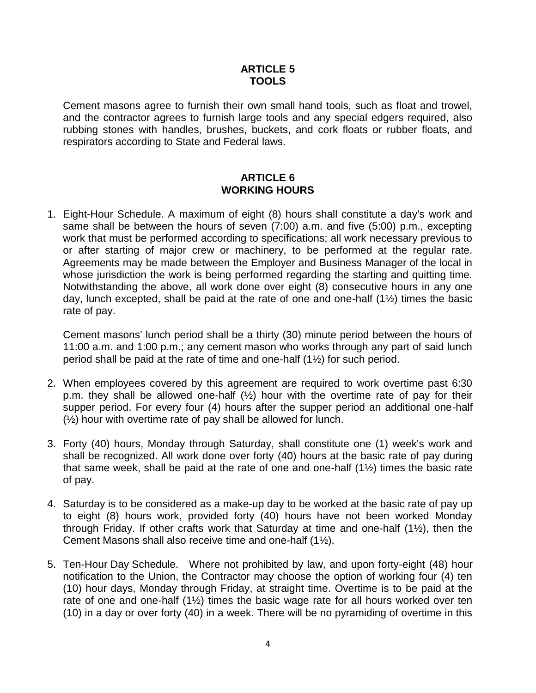# **ARTICLE 5 TOOLS**

Cement masons agree to furnish their own small hand tools, such as float and trowel, and the contractor agrees to furnish large tools and any special edgers required, also rubbing stones with handles, brushes, buckets, and cork floats or rubber floats, and respirators according to State and Federal laws.

# **ARTICLE 6 WORKING HOURS**

1. Eight-Hour Schedule. A maximum of eight (8) hours shall constitute a day's work and same shall be between the hours of seven (7:00) a.m. and five (5:00) p.m., excepting work that must be performed according to specifications; all work necessary previous to or after starting of major crew or machinery, to be performed at the regular rate. Agreements may be made between the Employer and Business Manager of the local in whose jurisdiction the work is being performed regarding the starting and quitting time. Notwithstanding the above, all work done over eight (8) consecutive hours in any one day, lunch excepted, shall be paid at the rate of one and one-half (1½) times the basic rate of pay.

Cement masons' lunch period shall be a thirty (30) minute period between the hours of 11:00 a.m. and 1:00 p.m.; any cement mason who works through any part of said lunch period shall be paid at the rate of time and one-half (1½) for such period.

- 2. When employees covered by this agreement are required to work overtime past 6:30 p.m. they shall be allowed one-half  $(\frac{1}{2})$  hour with the overtime rate of pay for their supper period. For every four (4) hours after the supper period an additional one-half (½) hour with overtime rate of pay shall be allowed for lunch.
- 3. Forty (40) hours, Monday through Saturday, shall constitute one (1) week's work and shall be recognized. All work done over forty (40) hours at the basic rate of pay during that same week, shall be paid at the rate of one and one-half (1½) times the basic rate of pay.
- 4. Saturday is to be considered as a make-up day to be worked at the basic rate of pay up to eight (8) hours work, provided forty (40) hours have not been worked Monday through Friday. If other crafts work that Saturday at time and one-half (1½), then the Cement Masons shall also receive time and one-half (1½).
- 5. Ten-Hour Day Schedule. Where not prohibited by law, and upon forty-eight (48) hour notification to the Union, the Contractor may choose the option of working four (4) ten (10) hour days, Monday through Friday, at straight time. Overtime is to be paid at the rate of one and one-half (1½) times the basic wage rate for all hours worked over ten (10) in a day or over forty (40) in a week. There will be no pyramiding of overtime in this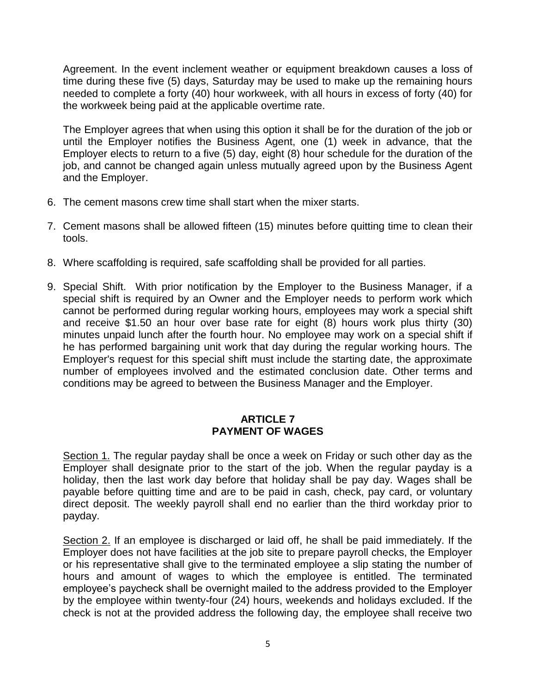Agreement. In the event inclement weather or equipment breakdown causes a loss of time during these five (5) days, Saturday may be used to make up the remaining hours needed to complete a forty (40) hour workweek, with all hours in excess of forty (40) for the workweek being paid at the applicable overtime rate.

The Employer agrees that when using this option it shall be for the duration of the job or until the Employer notifies the Business Agent, one (1) week in advance, that the Employer elects to return to a five (5) day, eight (8) hour schedule for the duration of the job, and cannot be changed again unless mutually agreed upon by the Business Agent and the Employer.

- 6. The cement masons crew time shall start when the mixer starts.
- 7. Cement masons shall be allowed fifteen (15) minutes before quitting time to clean their tools.
- 8. Where scaffolding is required, safe scaffolding shall be provided for all parties.
- 9. Special Shift. With prior notification by the Employer to the Business Manager, if a special shift is required by an Owner and the Employer needs to perform work which cannot be performed during regular working hours, employees may work a special shift and receive \$1.50 an hour over base rate for eight (8) hours work plus thirty (30) minutes unpaid lunch after the fourth hour. No employee may work on a special shift if he has performed bargaining unit work that day during the regular working hours. The Employer's request for this special shift must include the starting date, the approximate number of employees involved and the estimated conclusion date. Other terms and conditions may be agreed to between the Business Manager and the Employer.

# **ARTICLE 7 PAYMENT OF WAGES**

Section 1. The regular payday shall be once a week on Friday or such other day as the Employer shall designate prior to the start of the job. When the regular payday is a holiday, then the last work day before that holiday shall be pay day. Wages shall be payable before quitting time and are to be paid in cash, check, pay card, or voluntary direct deposit. The weekly payroll shall end no earlier than the third workday prior to payday.

Section 2. If an employee is discharged or laid off, he shall be paid immediately. If the Employer does not have facilities at the job site to prepare payroll checks, the Employer or his representative shall give to the terminated employee a slip stating the number of hours and amount of wages to which the employee is entitled. The terminated employee's paycheck shall be overnight mailed to the address provided to the Employer by the employee within twenty-four (24) hours, weekends and holidays excluded. If the check is not at the provided address the following day, the employee shall receive two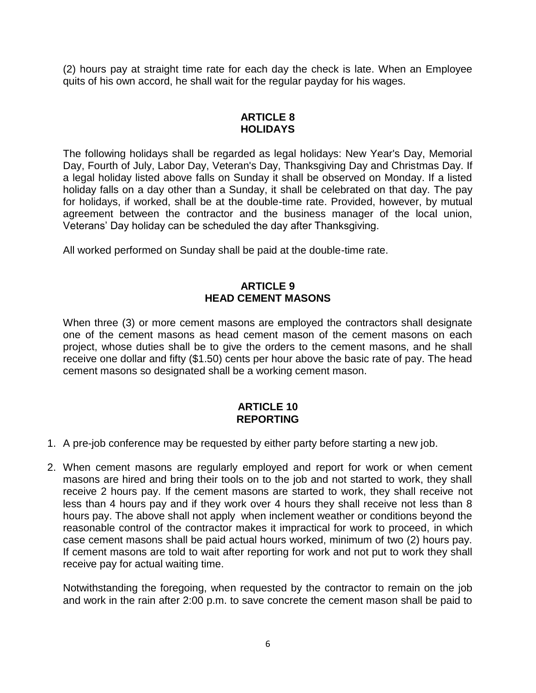(2) hours pay at straight time rate for each day the check is late. When an Employee quits of his own accord, he shall wait for the regular payday for his wages.

# **ARTICLE 8 HOLIDAYS**

The following holidays shall be regarded as legal holidays: New Year's Day, Memorial Day, Fourth of July, Labor Day, Veteran's Day, Thanksgiving Day and Christmas Day. If a legal holiday listed above falls on Sunday it shall be observed on Monday. If a listed holiday falls on a day other than a Sunday, it shall be celebrated on that day. The pay for holidays, if worked, shall be at the double-time rate. Provided, however, by mutual agreement between the contractor and the business manager of the local union, Veterans' Day holiday can be scheduled the day after Thanksgiving.

All worked performed on Sunday shall be paid at the double-time rate.

### **ARTICLE 9 HEAD CEMENT MASONS**

When three (3) or more cement masons are employed the contractors shall designate one of the cement masons as head cement mason of the cement masons on each project, whose duties shall be to give the orders to the cement masons, and he shall receive one dollar and fifty (\$1.50) cents per hour above the basic rate of pay. The head cement masons so designated shall be a working cement mason.

### **ARTICLE 10 REPORTING**

- 1. A pre-job conference may be requested by either party before starting a new job.
- 2. When cement masons are regularly employed and report for work or when cement masons are hired and bring their tools on to the job and not started to work, they shall receive 2 hours pay. If the cement masons are started to work, they shall receive not less than 4 hours pay and if they work over 4 hours they shall receive not less than 8 hours pay. The above shall not apply when inclement weather or conditions beyond the reasonable control of the contractor makes it impractical for work to proceed, in which case cement masons shall be paid actual hours worked, minimum of two (2) hours pay. If cement masons are told to wait after reporting for work and not put to work they shall receive pay for actual waiting time.

Notwithstanding the foregoing, when requested by the contractor to remain on the job and work in the rain after 2:00 p.m. to save concrete the cement mason shall be paid to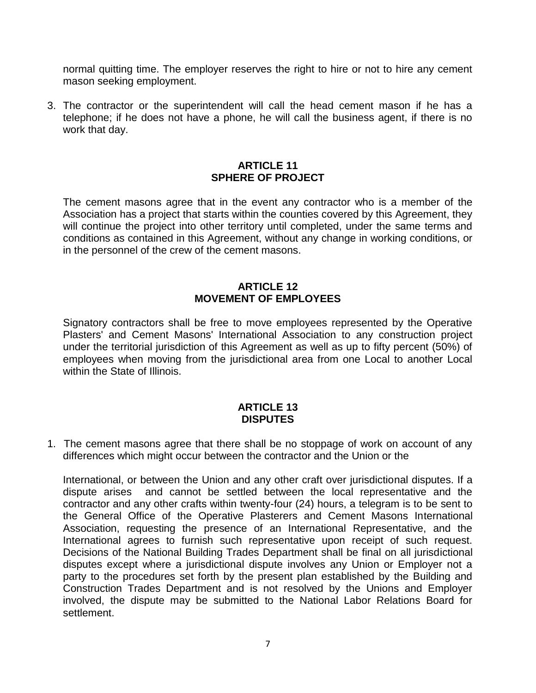normal quitting time. The employer reserves the right to hire or not to hire any cement mason seeking employment.

3. The contractor or the superintendent will call the head cement mason if he has a telephone; if he does not have a phone, he will call the business agent, if there is no work that day.

### **ARTICLE 11 SPHERE OF PROJECT**

The cement masons agree that in the event any contractor who is a member of the Association has a project that starts within the counties covered by this Agreement, they will continue the project into other territory until completed, under the same terms and conditions as contained in this Agreement, without any change in working conditions, or in the personnel of the crew of the cement masons.

# **ARTICLE 12 MOVEMENT OF EMPLOYEES**

Signatory contractors shall be free to move employees represented by the Operative Plasters' and Cement Masons' International Association to any construction project under the territorial jurisdiction of this Agreement as well as up to fifty percent (50%) of employees when moving from the jurisdictional area from one Local to another Local within the State of Illinois.

### **ARTICLE 13 DISPUTES**

1. The cement masons agree that there shall be no stoppage of work on account of any differences which might occur between the contractor and the Union or the

International, or between the Union and any other craft over jurisdictional disputes. If a dispute arises and cannot be settled between the local representative and the contractor and any other crafts within twenty-four (24) hours, a telegram is to be sent to the General Office of the Operative Plasterers and Cement Masons International Association, requesting the presence of an International Representative, and the International agrees to furnish such representative upon receipt of such request. Decisions of the National Building Trades Department shall be final on all jurisdictional disputes except where a jurisdictional dispute involves any Union or Employer not a party to the procedures set forth by the present plan established by the Building and Construction Trades Department and is not resolved by the Unions and Employer involved, the dispute may be submitted to the National Labor Relations Board for settlement.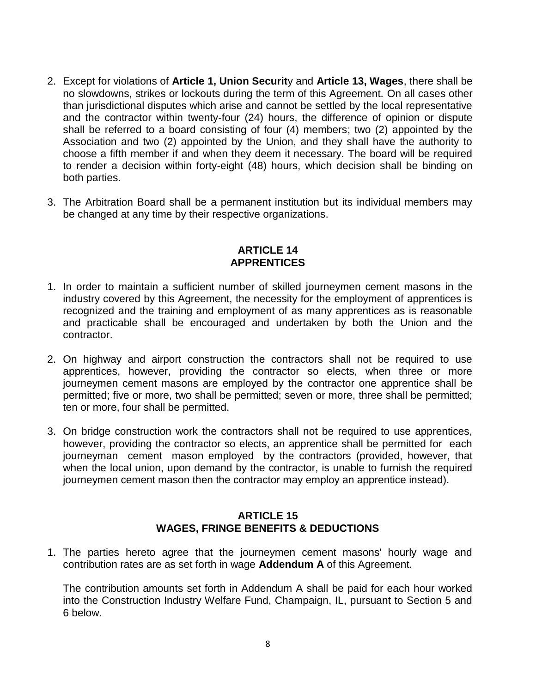- 2. Except for violations of **Article 1, Union Securit**y and **Article 13, Wages**, there shall be no slowdowns, strikes or lockouts during the term of this Agreement. On all cases other than jurisdictional disputes which arise and cannot be settled by the local representative and the contractor within twenty-four (24) hours, the difference of opinion or dispute shall be referred to a board consisting of four (4) members; two (2) appointed by the Association and two (2) appointed by the Union, and they shall have the authority to choose a fifth member if and when they deem it necessary. The board will be required to render a decision within forty-eight (48) hours, which decision shall be binding on both parties.
- 3. The Arbitration Board shall be a permanent institution but its individual members may be changed at any time by their respective organizations.

# **ARTICLE 14 APPRENTICES**

- 1. In order to maintain a sufficient number of skilled journeymen cement masons in the industry covered by this Agreement, the necessity for the employment of apprentices is recognized and the training and employment of as many apprentices as is reasonable and practicable shall be encouraged and undertaken by both the Union and the contractor.
- 2. On highway and airport construction the contractors shall not be required to use apprentices, however, providing the contractor so elects, when three or more journeymen cement masons are employed by the contractor one apprentice shall be permitted; five or more, two shall be permitted; seven or more, three shall be permitted; ten or more, four shall be permitted.
- 3. On bridge construction work the contractors shall not be required to use apprentices, however, providing the contractor so elects, an apprentice shall be permitted for each journeyman cement mason employed by the contractors (provided, however, that when the local union, upon demand by the contractor, is unable to furnish the required journeymen cement mason then the contractor may employ an apprentice instead).

### **ARTICLE 15 WAGES, FRINGE BENEFITS & DEDUCTIONS**

1. The parties hereto agree that the journeymen cement masons' hourly wage and contribution rates are as set forth in wage **Addendum A** of this Agreement.

The contribution amounts set forth in Addendum A shall be paid for each hour worked into the Construction Industry Welfare Fund, Champaign, IL, pursuant to Section 5 and 6 below.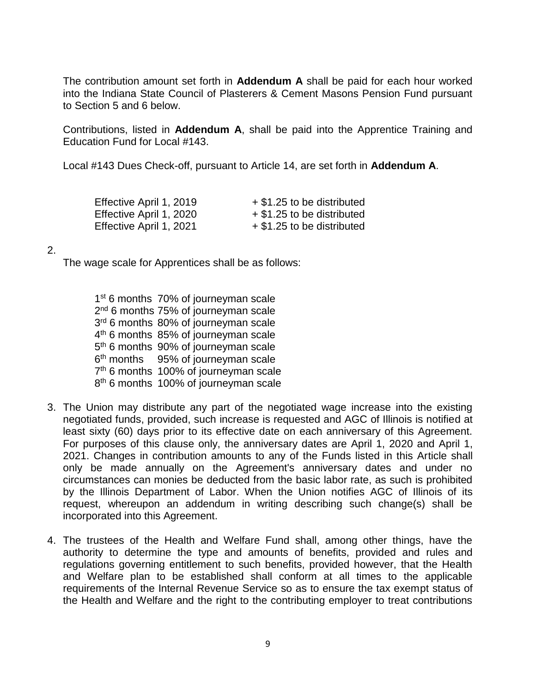The contribution amount set forth in **Addendum A** shall be paid for each hour worked into the Indiana State Council of Plasterers & Cement Masons Pension Fund pursuant to Section 5 and 6 below.

Contributions, listed in **Addendum A**, shall be paid into the Apprentice Training and Education Fund for Local #143.

Local #143 Dues Check-off, pursuant to Article 14, are set forth in **Addendum A**.

| Effective April 1, 2019 | + \$1.25 to be distributed |
|-------------------------|----------------------------|
| Effective April 1, 2020 | + \$1.25 to be distributed |
| Effective April 1, 2021 | + \$1.25 to be distributed |

2.

The wage scale for Apprentices shall be as follows:

- 1<sup>st</sup> 6 months 70% of journeyman scale 2<sup>nd</sup> 6 months 75% of journeyman scale 3<sup>rd</sup> 6 months 80% of journeyman scale 4<sup>th</sup> 6 months 85% of journeyman scale 5<sup>th</sup> 6 months 90% of journeyman scale 6<sup>th</sup> months 95% of journeyman scale 7<sup>th</sup> 6 months 100% of journeyman scale 8<sup>th</sup> 6 months 100% of journeyman scale
- 3. The Union may distribute any part of the negotiated wage increase into the existing negotiated funds, provided, such increase is requested and AGC of Illinois is notified at least sixty (60) days prior to its effective date on each anniversary of this Agreement. For purposes of this clause only, the anniversary dates are April 1, 2020 and April 1, 2021. Changes in contribution amounts to any of the Funds listed in this Article shall only be made annually on the Agreement's anniversary dates and under no circumstances can monies be deducted from the basic labor rate, as such is prohibited by the Illinois Department of Labor. When the Union notifies AGC of Illinois of its request, whereupon an addendum in writing describing such change(s) shall be incorporated into this Agreement.
- 4. The trustees of the Health and Welfare Fund shall, among other things, have the authority to determine the type and amounts of benefits, provided and rules and regulations governing entitlement to such benefits, provided however, that the Health and Welfare plan to be established shall conform at all times to the applicable requirements of the Internal Revenue Service so as to ensure the tax exempt status of the Health and Welfare and the right to the contributing employer to treat contributions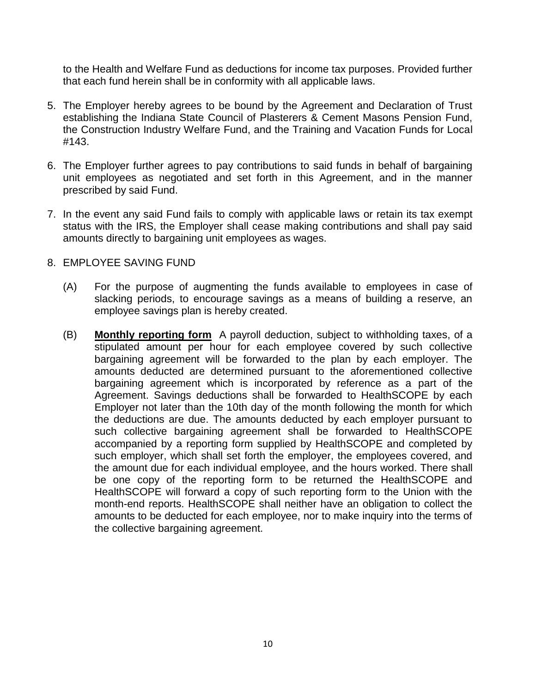to the Health and Welfare Fund as deductions for income tax purposes. Provided further that each fund herein shall be in conformity with all applicable laws.

- 5. The Employer hereby agrees to be bound by the Agreement and Declaration of Trust establishing the Indiana State Council of Plasterers & Cement Masons Pension Fund, the Construction Industry Welfare Fund, and the Training and Vacation Funds for Local #143.
- 6. The Employer further agrees to pay contributions to said funds in behalf of bargaining unit employees as negotiated and set forth in this Agreement, and in the manner prescribed by said Fund.
- 7. In the event any said Fund fails to comply with applicable laws or retain its tax exempt status with the IRS, the Employer shall cease making contributions and shall pay said amounts directly to bargaining unit employees as wages.
- 8. EMPLOYEE SAVING FUND
	- (A) For the purpose of augmenting the funds available to employees in case of slacking periods, to encourage savings as a means of building a reserve, an employee savings plan is hereby created.
	- (B) **Monthly reporting form** A payroll deduction, subject to withholding taxes, of a stipulated amount per hour for each employee covered by such collective bargaining agreement will be forwarded to the plan by each employer. The amounts deducted are determined pursuant to the aforementioned collective bargaining agreement which is incorporated by reference as a part of the Agreement. Savings deductions shall be forwarded to HealthSCOPE by each Employer not later than the 10th day of the month following the month for which the deductions are due. The amounts deducted by each employer pursuant to such collective bargaining agreement shall be forwarded to HealthSCOPE accompanied by a reporting form supplied by HealthSCOPE and completed by such employer, which shall set forth the employer, the employees covered, and the amount due for each individual employee, and the hours worked. There shall be one copy of the reporting form to be returned the HealthSCOPE and HealthSCOPE will forward a copy of such reporting form to the Union with the month-end reports. HealthSCOPE shall neither have an obligation to collect the amounts to be deducted for each employee, nor to make inquiry into the terms of the collective bargaining agreement.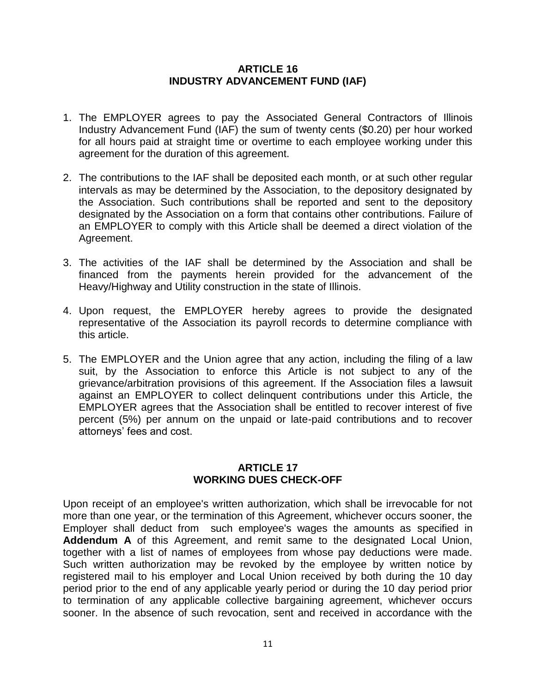#### **ARTICLE 16 INDUSTRY ADVANCEMENT FUND (IAF)**

- 1. The EMPLOYER agrees to pay the Associated General Contractors of Illinois Industry Advancement Fund (IAF) the sum of twenty cents (\$0.20) per hour worked for all hours paid at straight time or overtime to each employee working under this agreement for the duration of this agreement.
- 2. The contributions to the IAF shall be deposited each month, or at such other regular intervals as may be determined by the Association, to the depository designated by the Association. Such contributions shall be reported and sent to the depository designated by the Association on a form that contains other contributions. Failure of an EMPLOYER to comply with this Article shall be deemed a direct violation of the Agreement.
- 3. The activities of the IAF shall be determined by the Association and shall be financed from the payments herein provided for the advancement of the Heavy/Highway and Utility construction in the state of Illinois.
- 4. Upon request, the EMPLOYER hereby agrees to provide the designated representative of the Association its payroll records to determine compliance with this article.
- 5. The EMPLOYER and the Union agree that any action, including the filing of a law suit, by the Association to enforce this Article is not subject to any of the grievance/arbitration provisions of this agreement. If the Association files a lawsuit against an EMPLOYER to collect delinquent contributions under this Article, the EMPLOYER agrees that the Association shall be entitled to recover interest of five percent (5%) per annum on the unpaid or late-paid contributions and to recover attorneys' fees and cost.

# **ARTICLE 17 WORKING DUES CHECK-OFF**

Upon receipt of an employee's written authorization, which shall be irrevocable for not more than one year, or the termination of this Agreement, whichever occurs sooner, the Employer shall deduct from such employee's wages the amounts as specified in **Addendum A** of this Agreement, and remit same to the designated Local Union, together with a list of names of employees from whose pay deductions were made. Such written authorization may be revoked by the employee by written notice by registered mail to his employer and Local Union received by both during the 10 day period prior to the end of any applicable yearly period or during the 10 day period prior to termination of any applicable collective bargaining agreement, whichever occurs sooner. In the absence of such revocation, sent and received in accordance with the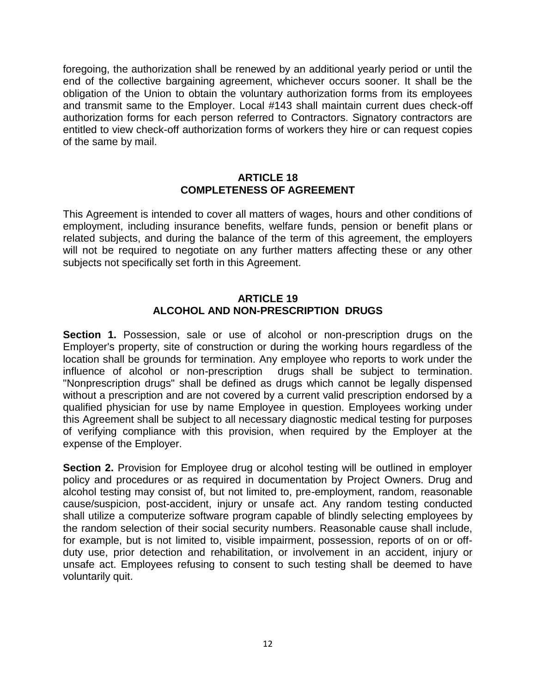foregoing, the authorization shall be renewed by an additional yearly period or until the end of the collective bargaining agreement, whichever occurs sooner. It shall be the obligation of the Union to obtain the voluntary authorization forms from its employees and transmit same to the Employer. Local #143 shall maintain current dues check-off authorization forms for each person referred to Contractors. Signatory contractors are entitled to view check-off authorization forms of workers they hire or can request copies of the same by mail.

#### **ARTICLE 18 COMPLETENESS OF AGREEMENT**

This Agreement is intended to cover all matters of wages, hours and other conditions of employment, including insurance benefits, welfare funds, pension or benefit plans or related subjects, and during the balance of the term of this agreement, the employers will not be required to negotiate on any further matters affecting these or any other subjects not specifically set forth in this Agreement.

### **ARTICLE 19 ALCOHOL AND NON-PRESCRIPTION DRUGS**

**Section 1.** Possession, sale or use of alcohol or non-prescription drugs on the Employer's property, site of construction or during the working hours regardless of the location shall be grounds for termination. Any employee who reports to work under the influence of alcohol or non-prescription drugs shall be subject to termination. "Nonprescription drugs" shall be defined as drugs which cannot be legally dispensed without a prescription and are not covered by a current valid prescription endorsed by a qualified physician for use by name Employee in question. Employees working under this Agreement shall be subject to all necessary diagnostic medical testing for purposes of verifying compliance with this provision, when required by the Employer at the expense of the Employer.

**Section 2.** Provision for Employee drug or alcohol testing will be outlined in employer policy and procedures or as required in documentation by Project Owners. Drug and alcohol testing may consist of, but not limited to, pre-employment, random, reasonable cause/suspicion, post-accident, injury or unsafe act. Any random testing conducted shall utilize a computerize software program capable of blindly selecting employees by the random selection of their social security numbers. Reasonable cause shall include, for example, but is not limited to, visible impairment, possession, reports of on or offduty use, prior detection and rehabilitation, or involvement in an accident, injury or unsafe act. Employees refusing to consent to such testing shall be deemed to have voluntarily quit.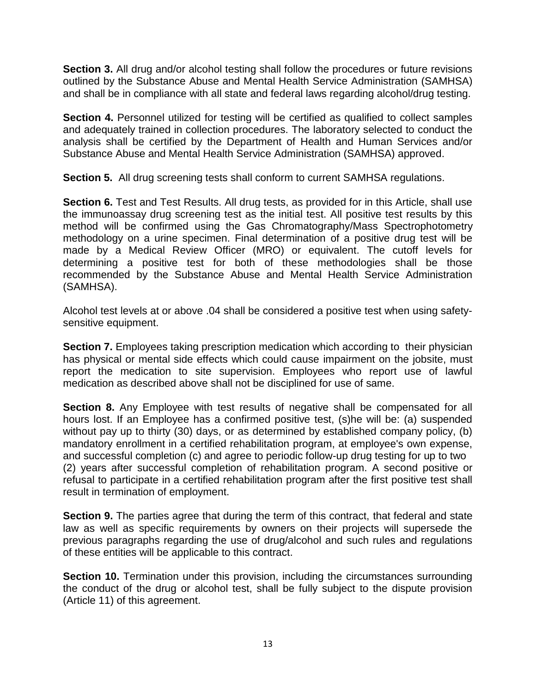**Section 3.** All drug and/or alcohol testing shall follow the procedures or future revisions outlined by the Substance Abuse and Mental Health Service Administration (SAMHSA) and shall be in compliance with all state and federal laws regarding alcohol/drug testing.

**Section 4.** Personnel utilized for testing will be certified as qualified to collect samples and adequately trained in collection procedures. The laboratory selected to conduct the analysis shall be certified by the Department of Health and Human Services and/or Substance Abuse and Mental Health Service Administration (SAMHSA) approved.

**Section 5.** All drug screening tests shall conform to current SAMHSA regulations.

**Section 6.** Test and Test Results. All drug tests, as provided for in this Article, shall use the immunoassay drug screening test as the initial test. All positive test results by this method will be confirmed using the Gas Chromatography/Mass Spectrophotometry methodology on a urine specimen. Final determination of a positive drug test will be made by a Medical Review Officer (MRO) or equivalent. The cutoff levels for determining a positive test for both of these methodologies shall be those recommended by the Substance Abuse and Mental Health Service Administration (SAMHSA).

Alcohol test levels at or above .04 shall be considered a positive test when using safetysensitive equipment.

**Section 7.** Employees taking prescription medication which according to their physician has physical or mental side effects which could cause impairment on the jobsite, must report the medication to site supervision. Employees who report use of lawful medication as described above shall not be disciplined for use of same.

**Section 8.** Any Employee with test results of negative shall be compensated for all hours lost. If an Employee has a confirmed positive test, (s)he will be: (a) suspended without pay up to thirty (30) days, or as determined by established company policy, (b) mandatory enrollment in a certified rehabilitation program, at employee's own expense, and successful completion (c) and agree to periodic follow-up drug testing for up to two (2) years after successful completion of rehabilitation program. A second positive or refusal to participate in a certified rehabilitation program after the first positive test shall result in termination of employment.

**Section 9.** The parties agree that during the term of this contract, that federal and state law as well as specific requirements by owners on their projects will supersede the previous paragraphs regarding the use of drug/alcohol and such rules and regulations of these entities will be applicable to this contract.

**Section 10.** Termination under this provision, including the circumstances surrounding the conduct of the drug or alcohol test, shall be fully subject to the dispute provision (Article 11) of this agreement.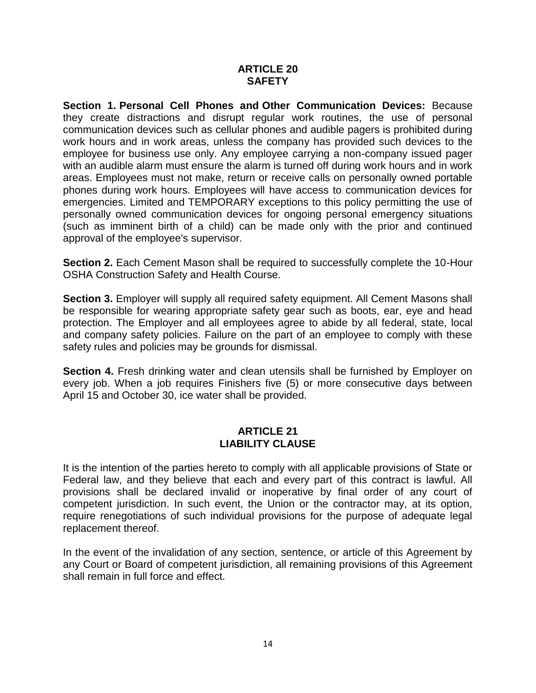#### **ARTICLE 20 SAFETY**

**Section 1. Personal Cell Phones and Other Communication Devices:** Because they create distractions and disrupt regular work routines, the use of personal communication devices such as cellular phones and audible pagers is prohibited during work hours and in work areas, unless the company has provided such devices to the employee for business use only. Any employee carrying a non-company issued pager with an audible alarm must ensure the alarm is turned off during work hours and in work areas. Employees must not make, return or receive calls on personally owned portable phones during work hours. Employees will have access to communication devices for emergencies. Limited and TEMPORARY exceptions to this policy permitting the use of personally owned communication devices for ongoing personal emergency situations (such as imminent birth of a child) can be made only with the prior and continued approval of the employee's supervisor.

**Section 2.** Each Cement Mason shall be required to successfully complete the 10-Hour OSHA Construction Safety and Health Course.

**Section 3.** Employer will supply all required safety equipment. All Cement Masons shall be responsible for wearing appropriate safety gear such as boots, ear, eye and head protection. The Employer and all employees agree to abide by all federal, state, local and company safety policies. Failure on the part of an employee to comply with these safety rules and policies may be grounds for dismissal.

**Section 4.** Fresh drinking water and clean utensils shall be furnished by Employer on every job. When a job requires Finishers five (5) or more consecutive days between April 15 and October 30, ice water shall be provided.

### **ARTICLE 21 LIABILITY CLAUSE**

It is the intention of the parties hereto to comply with all applicable provisions of State or Federal law, and they believe that each and every part of this contract is lawful. All provisions shall be declared invalid or inoperative by final order of any court of competent jurisdiction. In such event, the Union or the contractor may, at its option, require renegotiations of such individual provisions for the purpose of adequate legal replacement thereof.

In the event of the invalidation of any section, sentence, or article of this Agreement by any Court or Board of competent jurisdiction, all remaining provisions of this Agreement shall remain in full force and effect.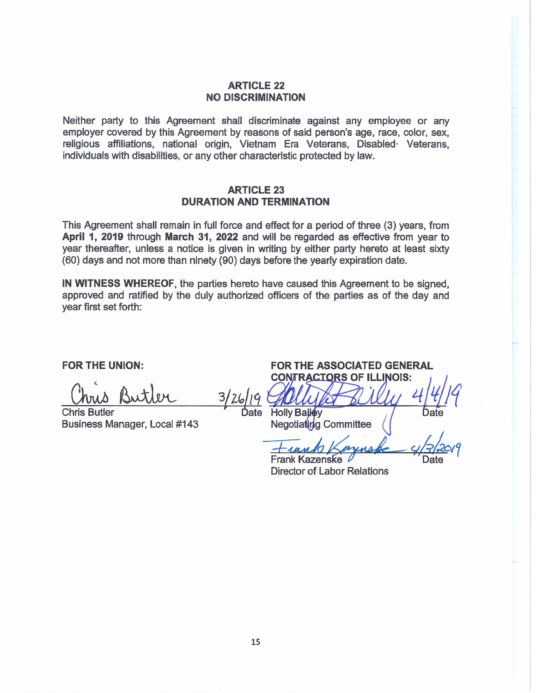#### **ARTICLE 22 NO DISCRIMINATION**

Neither party to this Agreement shall discriminate against any employee or any employer covered by this Agreement by reasons of said person's age, race, color, sex, religious affiliations, national origin, Vietnam Era Veterans, Disabled Veterans, individuals with disabilities, or any other characteristic protected by law.

#### **ARTICLE 23 DURATION AND TERMINATION**

This Agreement shall remain in full force and effect for a period of three (3) years, from April 1, 2019 through March 31, 2022 and will be regarded as effective from year to year thereafter, unless a notice is given in writing by either party hereto at least sixty (60) days and not more than ninety (90) days before the yearly expiration date.

IN WITNESS WHEREOF, the parties hereto have caused this Agreement to be signed. approved and ratified by the duly authorized officers of the parties as of the day and year first set forth:

**FOR THE UNION:** 

**Chris Butler** Business Manager, Local #143

Ďate

**FOR THE ASSOCIATED GENERAL CONTRACTORS OF ILLINOIS:** Holly Bailey

Negotiating Committee

**Frank Kazenske Director of Labor Relations**